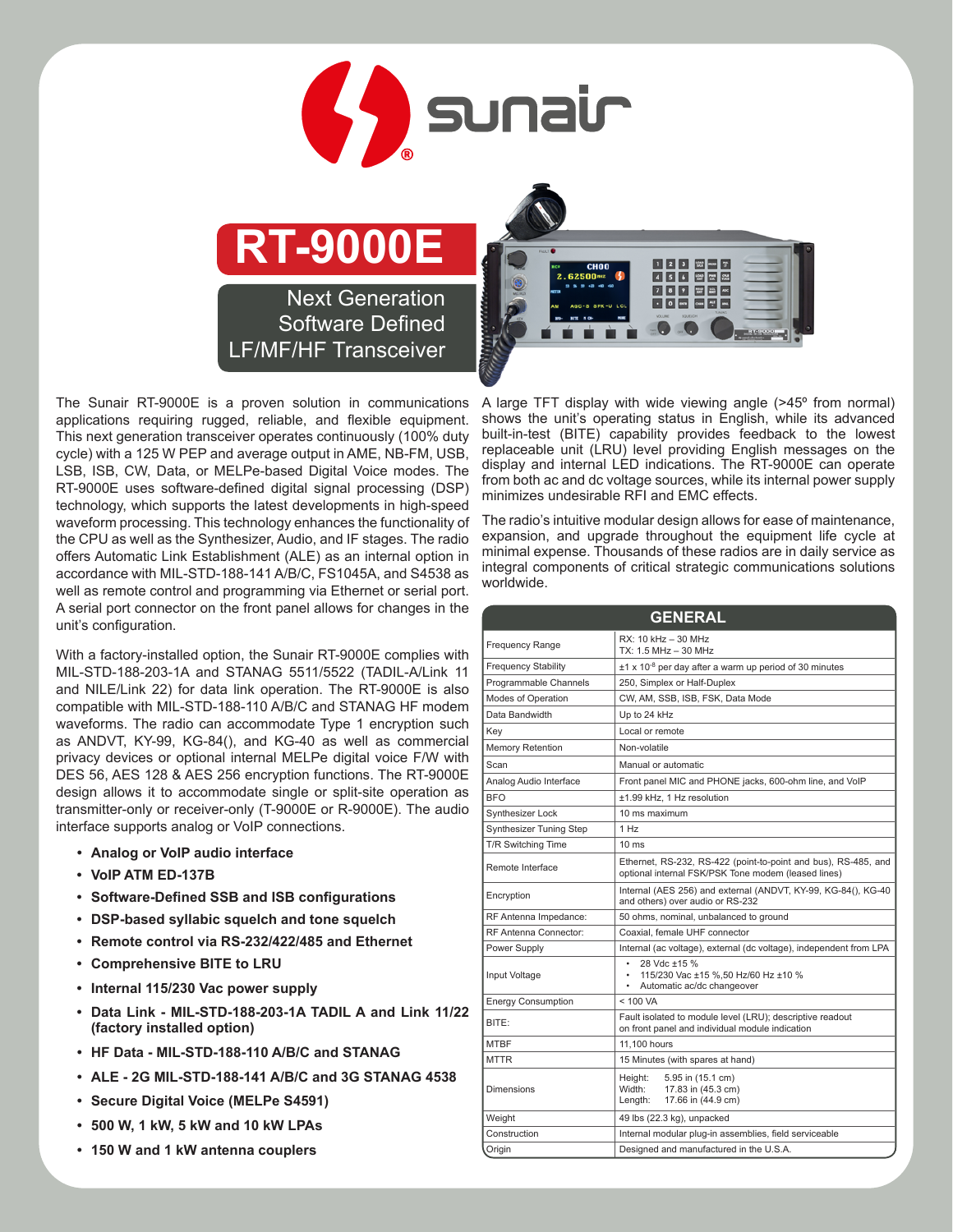

## **RT-9000E** Next Generation

Software Defined LF/MF/HF Transceiver



The Sunair RT-9000E is a proven solution in communications applications requiring rugged, reliable, and flexible equipment. This next generation transceiver operates continuously (100% duty cycle) with a 125 W PEP and average output in AME, NB-FM, USB, LSB, ISB, CW, Data, or MELPe-based Digital Voice modes. The RT-9000E uses software-defined digital signal processing (DSP) technology, which supports the latest developments in high-speed waveform processing. This technology enhances the functionality of the CPU as well as the Synthesizer, Audio, and IF stages. The radio offers Automatic Link Establishment (ALE) as an internal option in accordance with MIL-STD-188-141 A/B/C, FS1045A, and S4538 as well as remote control and programming via Ethernet or serial port. A serial port connector on the front panel allows for changes in the unit's configuration.

With a factory-installed option, the Sunair RT-9000E complies with MIL-STD-188-203-1A and STANAG 5511/5522 (TADIL-A/Link 11 and NILE/Link 22) for data link operation. The RT-9000E is also compatible with MIL-STD-188-110 A/B/C and STANAG HF modem waveforms. The radio can accommodate Type 1 encryption such as ANDVT, KY-99, KG-84(), and KG-40 as well as commercial privacy devices or optional internal MELPe digital voice F/W with DES 56, AES 128 & AES 256 encryption functions. The RT-9000E design allows it to accommodate single or split-site operation as transmitter-only or receiver-only (T-9000E or R-9000E). The audio interface supports analog or VoIP connections.

- **• Analog or VoIP audio interface**
- **• VoIP ATM ED-137B**
- **• Software-Defined SSB and ISB configurations**
- **• DSP-based syllabic squelch and tone squelch**
- **• Remote control via RS-232/422/485 and Ethernet**
- **• Comprehensive BITE to LRU**
- **• Internal 115/230 Vac power supply**
- **• Data Link - MIL-STD-188-203-1A TADIL A and Link 11/22 (factory installed option)**
- **• HF Data - MIL-STD-188-110 A/B/C and STANAG**
- **• ALE - 2G MIL-STD-188-141 A/B/C and 3G STANAG 4538**
- **• Secure Digital Voice (MELPe S4591)**
- **• 500 W, 1 kW, 5 kW and 10 kW LPAs**
- **• 150 W and 1 kW antenna couplers**

A large TFT display with wide viewing angle (>45º from normal) shows the unit's operating status in English, while its advanced built-in-test (BITE) capability provides feedback to the lowest replaceable unit (LRU) level providing English messages on the display and internal LED indications. The RT-9000E can operate from both ac and dc voltage sources, while its internal power supply minimizes undesirable RFI and EMC effects.

The radio's intuitive modular design allows for ease of maintenance, expansion, and upgrade throughout the equipment life cycle at minimal expense. Thousands of these radios are in daily service as integral components of critical strategic communications solutions worldwide.

|                                | <b>GENERAL</b>                                                                                                        |
|--------------------------------|-----------------------------------------------------------------------------------------------------------------------|
| <b>Frequency Range</b>         | RX: 10 kHz - 30 MHz<br>$TX: 1.5 MHz - 30 MHz$                                                                         |
| <b>Frequency Stability</b>     | $\pm$ 1 x 10 <sup>-8</sup> per day after a warm up period of 30 minutes                                               |
| Programmable Channels          | 250, Simplex or Half-Duplex                                                                                           |
| Modes of Operation             | CW, AM, SSB, ISB, FSK, Data Mode                                                                                      |
| Data Bandwidth                 | Up to 24 kHz                                                                                                          |
| Key                            | Local or remote                                                                                                       |
| <b>Memory Retention</b>        | Non-volatile                                                                                                          |
| Scan                           | Manual or automatic                                                                                                   |
| Analog Audio Interface         | Front panel MIC and PHONE jacks, 600-ohm line, and VoIP                                                               |
| <b>BFO</b>                     | ±1.99 kHz. 1 Hz resolution                                                                                            |
| Synthesizer Lock               | 10 ms maximum                                                                                                         |
| <b>Synthesizer Tuning Step</b> | 1 Hz                                                                                                                  |
| T/R Switching Time             | 10 <sub>ms</sub>                                                                                                      |
| Remote Interface               | Ethernet, RS-232, RS-422 (point-to-point and bus), RS-485, and<br>optional internal FSK/PSK Tone modem (leased lines) |
| Encryption                     | Internal (AES 256) and external (ANDVT, KY-99, KG-84(), KG-40<br>and others) over audio or RS-232                     |
| RF Antenna Impedance:          | 50 ohms, nominal, unbalanced to ground                                                                                |
| RF Antenna Connector:          | Coaxial, female UHF connector                                                                                         |
| Power Supply                   | Internal (ac voltage), external (dc voltage), independent from LPA                                                    |
| Input Voltage                  | 28 Vdc ±15 %<br>٠<br>115/230 Vac ±15 %,50 Hz/60 Hz ±10 %<br>٠<br>Automatic ac/dc changeover<br>$\bullet$              |
| <b>Energy Consumption</b>      | $< 100$ VA                                                                                                            |
| BITE:                          | Fault isolated to module level (LRU); descriptive readout<br>on front panel and individual module indication          |
| <b>MTBF</b>                    | 11,100 hours                                                                                                          |
| <b>MTTR</b>                    | 15 Minutes (with spares at hand)                                                                                      |
| <b>Dimensions</b>              | 5.95 in (15.1 cm)<br>Height:<br>Width:<br>17.83 in (45.3 cm)<br>Length: 17.66 in (44.9 cm)                            |
| Weight                         | 49 lbs (22.3 kg), unpacked                                                                                            |
| Construction                   | Internal modular plug-in assemblies, field serviceable                                                                |
| Origin                         | Designed and manufactured in the U.S.A.                                                                               |